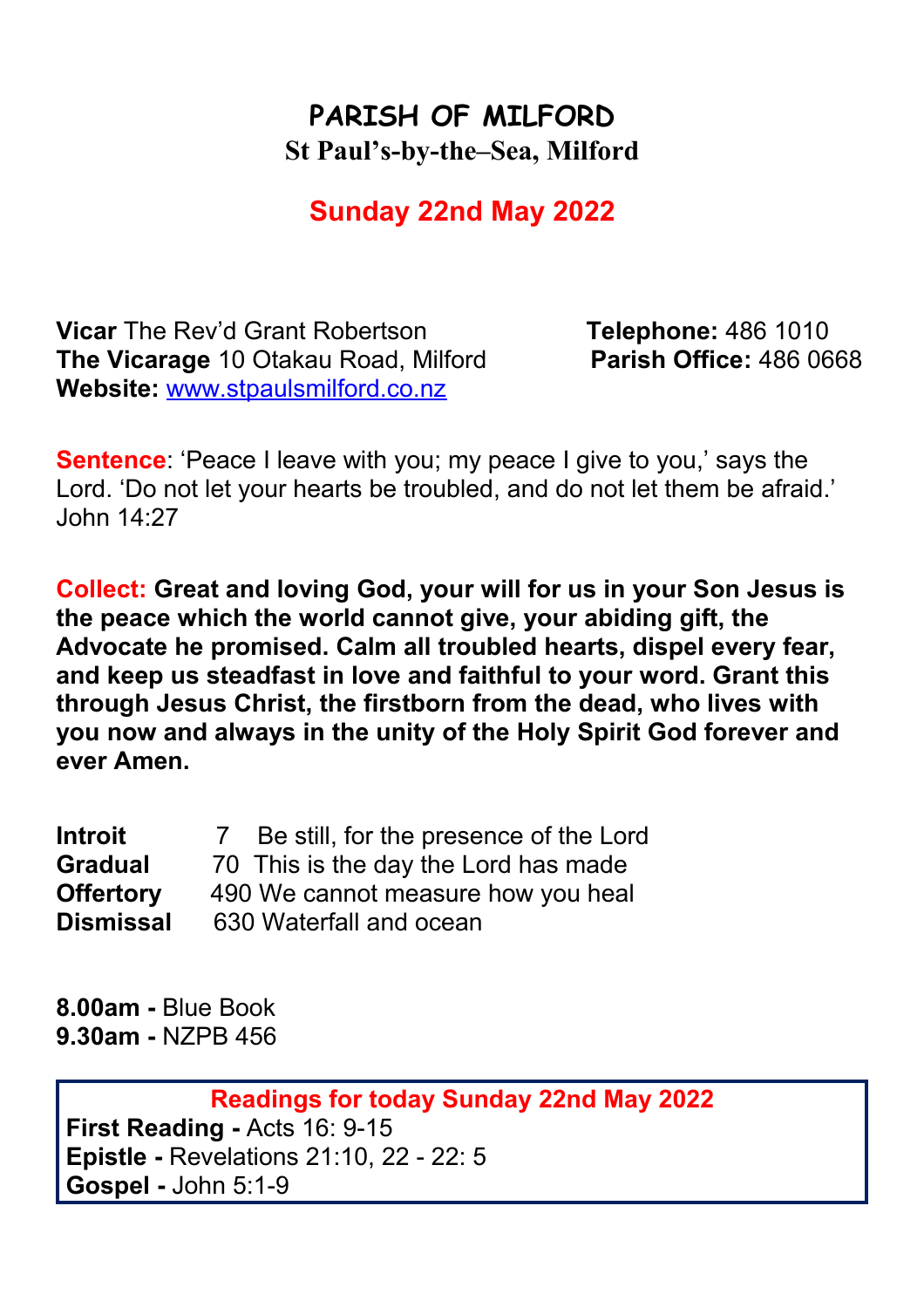# **PARISH OF MILFORD St Paul's-by-the–Sea, Milford**

#### **Sunday 22nd May 2022**

**Vicar** The Rev'd Grant Robertson **Telephone:** 486 1010 **The Vicarage** 10 Otakau Road, Milford **Parish Office:** 486 0668 **Website:** [www.stpaulsmilford.co.nz](http://www.stpaulsmilford.co.nz/)

**Sentence**: 'Peace I leave with you; my peace I give to you,' says the Lord. 'Do not let your hearts be troubled, and do not let them be afraid.' John 14:27

**Collect: Great and loving God, your will for us in your Son Jesus is the peace which the world cannot give, your abiding gift, the Advocate he promised. Calm all troubled hearts, dispel every fear, and keep us steadfast in love and faithful to your word. Grant this through Jesus Christ, the firstborn from the dead, who lives with you now and always in the unity of the Holy Spirit God forever and ever Amen.**

| <b>Introit</b>   | Be still, for the presence of the Lord |
|------------------|----------------------------------------|
| <b>Gradual</b>   | 70 This is the day the Lord has made   |
| <b>Offertory</b> | 490 We cannot measure how you heal     |
| <b>Dismissal</b> | 630 Waterfall and ocean                |

**8.00am -** Blue Book **9.30am -** NZPB 456

**Readings for today Sunday 22nd May 2022 First Reading -** Acts 16: 9-15 **Epistle -** Revelations 21:10, 22 - 22: 5 **Gospel -** John 5:1-9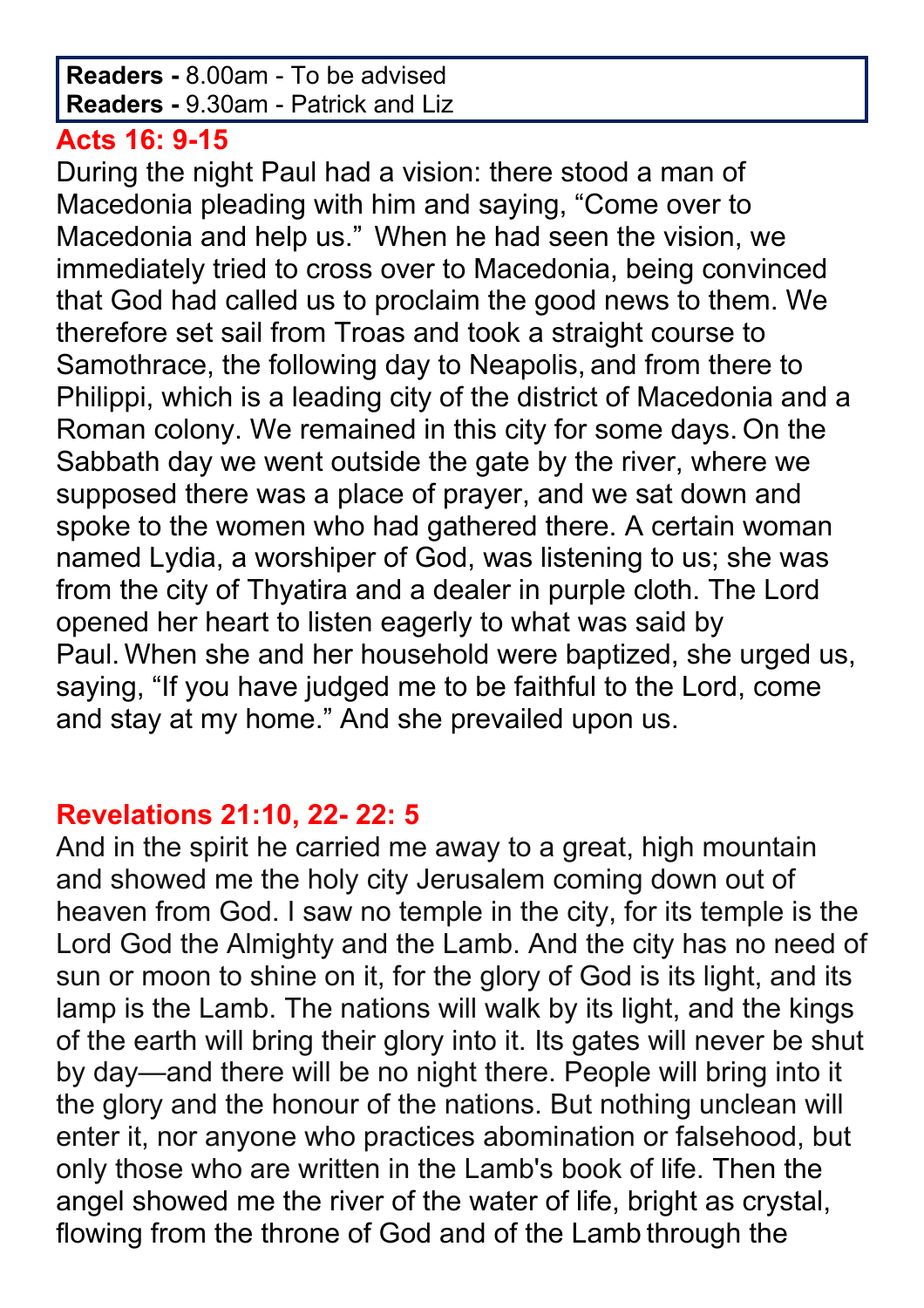**Readers -** 8.00am - To be advised **Readers -** 9.30am - Patrick and Liz

#### **Acts 16: 9-15**

During the night Paul had a vision: there stood a man of Macedonia pleading with him and saying, "Come over to Macedonia and help us." When he had seen the vision, we immediately tried to cross over to Macedonia, being convinced that God had called us to proclaim the good news to them. We therefore set sail from Troas and took a straight course to Samothrace, the following day to Neapolis, and from there to Philippi, which is a leading city of the district of Macedonia and a Roman colony. We remained in this city for some days. On the Sabbath day we went outside the gate by the river, where we supposed there was a place of prayer, and we sat down and spoke to the women who had gathered there. A certain woman named Lydia, a worshiper of God, was listening to us; she was from the city of Thyatira and a dealer in purple cloth. The Lord opened her heart to listen eagerly to what was said by Paul. When she and her household were baptized, she urged us, saying, "If you have judged me to be faithful to the Lord, come and stay at my home." And she prevailed upon us.

## **Revelations 21:10, 22- 22: 5**

And in the spirit he carried me away to a great, high mountain and showed me the holy city Jerusalem coming down out of heaven from God. I saw no temple in the city, for its temple is the Lord God the Almighty and the Lamb. And the city has no need of sun or moon to shine on it, for the glory of God is its light, and its lamp is the Lamb. The nations will walk by its light, and the kings of the earth will bring their glory into it. Its gates will never be shut by day—and there will be no night there. People will bring into it the glory and the honour of the nations. But nothing unclean will enter it, nor anyone who practices abomination or falsehood, but only those who are written in the Lamb's book of life. Then the angel showed me the river of the water of life, bright as crystal, flowing from the throne of God and of the Lamb through the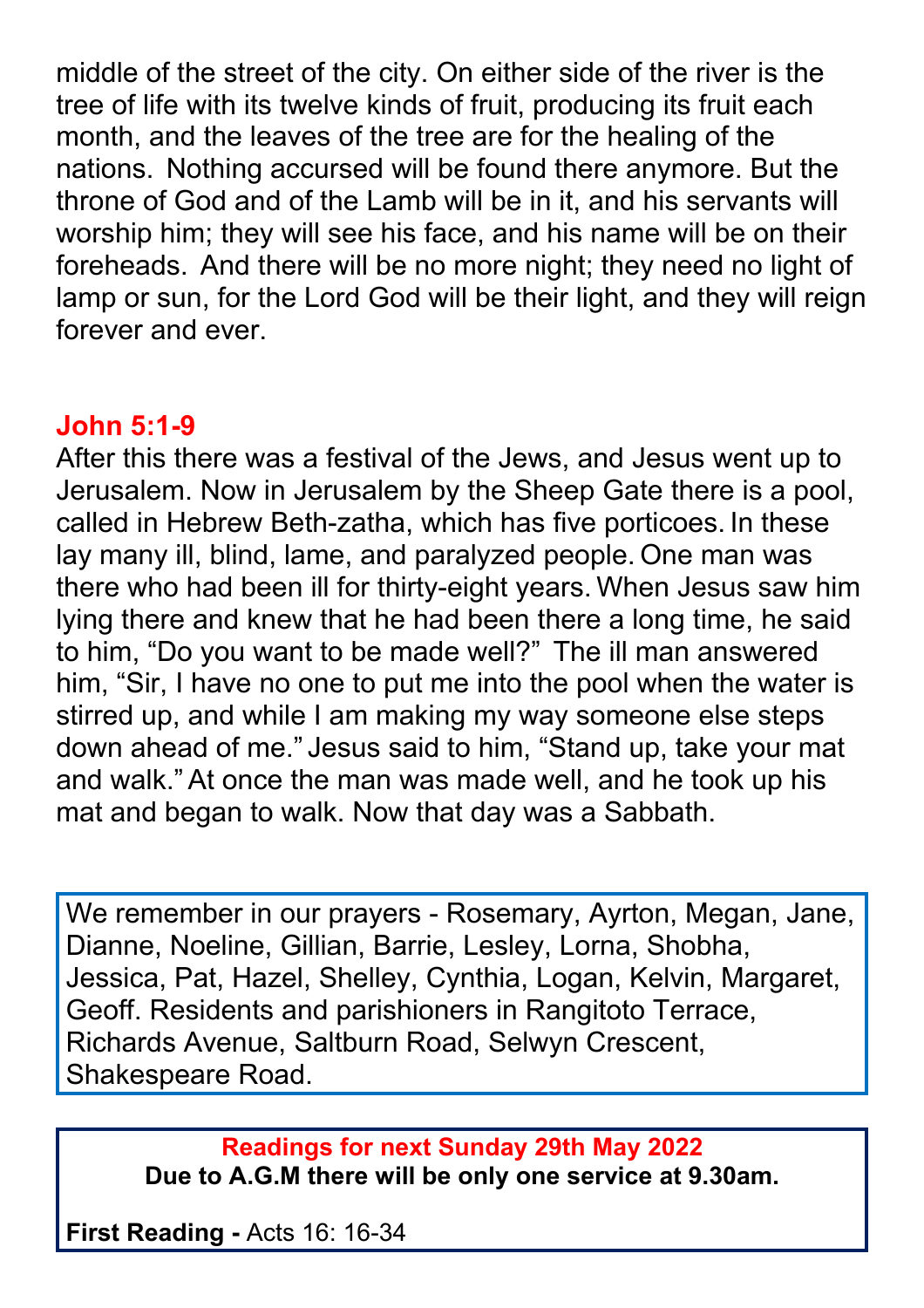middle of the street of the city. On either side of the river is the tree of life with its twelve kinds of fruit, producing its fruit each month, and the leaves of the tree are for the healing of the nations. Nothing accursed will be found there anymore. But the throne of God and of the Lamb will be in it, and his servants will worship him; they will see his face, and his name will be on their foreheads. And there will be no more night; they need no light of lamp or sun, for the Lord God will be their light, and they will reign forever and ever.

# **John 5:1-9**

After this there was a festival of the Jews, and Jesus went up to Jerusalem. Now in Jerusalem by the Sheep Gate there is a pool, called in Hebrew Beth-zatha, which has five porticoes. In these lay many ill, blind, lame, and paralyzed people. One man was there who had been ill for thirty-eight years. When Jesus saw him lying there and knew that he had been there a long time, he said to him, "Do you want to be made well?" The ill man answered him, "Sir, I have no one to put me into the pool when the water is stirred up, and while I am making my way someone else steps down ahead of me." Jesus said to him, "Stand up, take your mat and walk." At once the man was made well, and he took up his mat and began to walk. Now that day was a Sabbath.

We remember in our prayers - Rosemary, Ayrton, Megan, Jane, Dianne, Noeline, Gillian, Barrie, Lesley, Lorna, Shobha, Jessica, Pat, Hazel, Shelley, Cynthia, Logan, Kelvin, Margaret, Geoff. Residents and parishioners in Rangitoto Terrace, Richards Avenue, Saltburn Road, Selwyn Crescent, Shakespeare Road.

> **Readings for next Sunday 29th May 2022 Due to A.G.M there will be only one service at 9.30am.**

**First Reading -** Acts 16: 16-34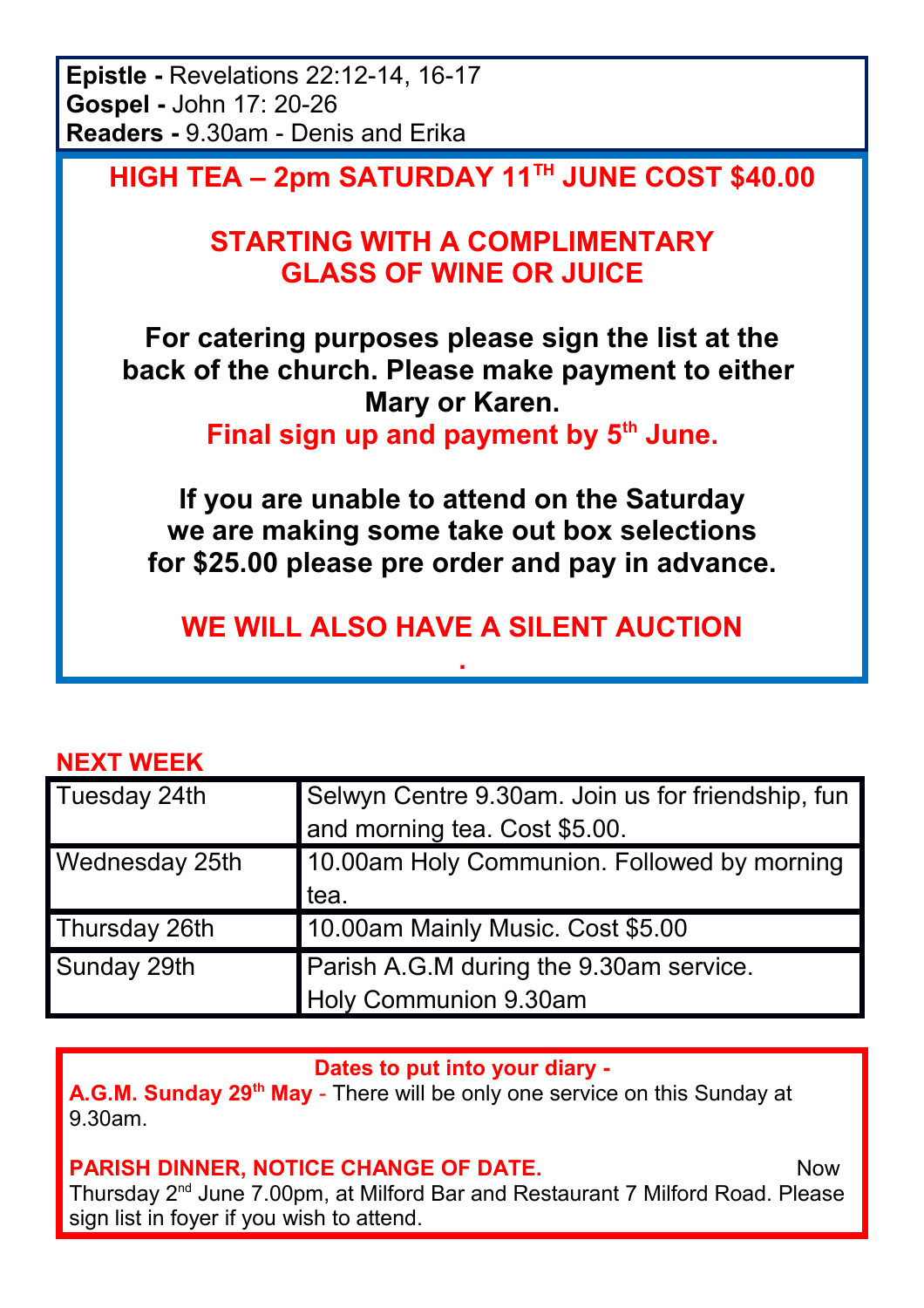**Epistle -** Revelations 22:12-14, 16-17 **Gospel -** John 17: 20-26 **Readers -** 9.30am - Denis and Erika

**HIGH TEA – 2pm SATURDAY 11TH JUNE COST \$40.00**

## **STARTING WITH A COMPLIMENTARY GLASS OF WINE OR JUICE**

**For catering purposes please sign the list at the back of the church. Please make payment to either Mary or Karen.**

**Final sign up and payment by 5th June.**

**If you are unable to attend on the Saturday we are making some take out box selections for \$25.00 please pre order and pay in advance.**

**WE WILL ALSO HAVE A SILENT AUCTION**

**.**

#### **NEXT WEEK**

| Tuesday 24th   | Selwyn Centre 9.30am. Join us for friendship, fun |
|----------------|---------------------------------------------------|
|                | and morning tea. Cost \$5.00.                     |
| Wednesday 25th | 10.00am Holy Communion. Followed by morning       |
|                | tea.                                              |
| Thursday 26th  | 10.00am Mainly Music. Cost \$5.00                 |
| Sunday 29th    | Parish A.G.M during the 9.30am service.           |
|                | Holy Communion 9.30am                             |

**Dates to put into your diary -**

**A.G.M. Sunday 29th May** - There will be only one service on this Sunday at 9.30am.

**PARISH DINNER, NOTICE CHANGE OF DATE.** Now

Thursday 2nd June 7.00pm, at Milford Bar and Restaurant 7 Milford Road. Please sign list in foyer if you wish to attend.